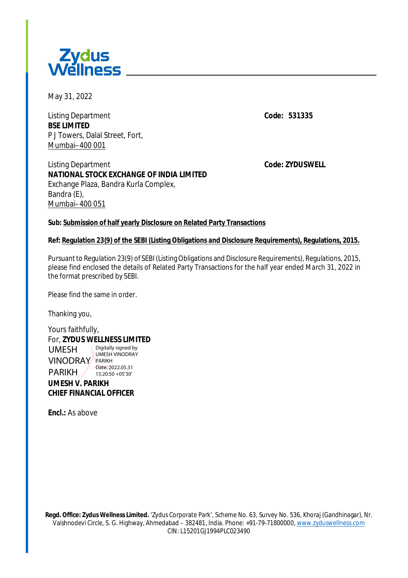

May 31, 2022

Listing Department **Code:** *531335* **BSE LIMITED** P J Towers, Dalal Street, Fort, Mumbai–400 001

## Listing Department **Code:** *ZYDUSWELL* **NATIONAL STOCK EXCHANGE OF INDIA LIMITED** Exchange Plaza, Bandra Kurla Complex, Bandra (E), Mumbai–400 051

## **Sub: Submission of half yearly Disclosure on Related Party Transactions**

## **Ref: Regulation 23(9) of the SEBI (Listing Obligations and Disclosure Requirements), Regulations, 2015.**

Pursuant to Regulation 23(9) of SEBI (Listing Obligations and Disclosure Requirements), Regulations, 2015, please find enclosed the details of Related Party Transactions for the half year ended March 31, 2022 in the format prescribed by SEBI.

Please find the same in order.

Thanking you,

Yours faithfully, For, **ZYDUS WELLNESS LIMITED UMESH V. PARIKH** UMESH **VINODRAY** PARIKH PARIKH Digitally signed by UMESH VINODRAY Date: 2022.05.31 15:20:50 +05'30'

**CHIEF FINANCIAL OFFICER**

**Encl.:** As above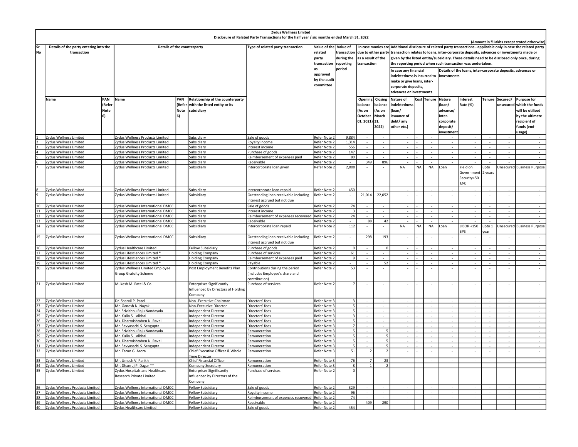| <b>Zydus Wellness Limited</b><br>Disclosure of Related Party Transactions for the half year / six months ended March 31, 2022 |                                                                       |        |                                                      |             |                                                                |                                           |                            |                          |                    |                          |                                                                                                                    |           |             |               |                          |               |                          |                            |  |  |
|-------------------------------------------------------------------------------------------------------------------------------|-----------------------------------------------------------------------|--------|------------------------------------------------------|-------------|----------------------------------------------------------------|-------------------------------------------|----------------------------|--------------------------|--------------------|--------------------------|--------------------------------------------------------------------------------------------------------------------|-----------|-------------|---------------|--------------------------|---------------|--------------------------|----------------------------|--|--|
| (Amount in ₹ Lakhs except stated otherwise)                                                                                   |                                                                       |        |                                                      |             |                                                                |                                           |                            |                          |                    |                          |                                                                                                                    |           |             |               |                          |               |                          |                            |  |  |
| lsr                                                                                                                           | Details of the counterparty<br>Details of the party entering into the |        |                                                      |             |                                                                | Type of related party transaction         | Value of the Value of      |                          |                    |                          | In case monies are Additional disclosure of related party transactions - applicable only in case the related party |           |             |               |                          |               |                          |                            |  |  |
| lNo                                                                                                                           | transaction                                                           |        |                                                      |             |                                                                |                                           | related                    | transaction              |                    |                          | due to either party transaction relates to loans, inter-corporate deposits, advances or investments made or        |           |             |               |                          |               |                          |                            |  |  |
|                                                                                                                               |                                                                       |        |                                                      |             |                                                                |                                           | party                      | during the               | as a result of the |                          | given by the listed entity/subsidiary. These details need to be disclosed only once, during                        |           |             |               |                          |               |                          |                            |  |  |
|                                                                                                                               |                                                                       |        |                                                      |             |                                                                |                                           | transaction                | reporting                | transaction        |                          | the reporting period when such transaction was undertaken.                                                         |           |             |               |                          |               |                          |                            |  |  |
|                                                                                                                               |                                                                       |        |                                                      |             |                                                                |                                           |                            | period                   |                    |                          |                                                                                                                    |           |             |               |                          |               |                          |                            |  |  |
|                                                                                                                               |                                                                       |        |                                                      |             |                                                                |                                           | approved<br>by the audit   |                          |                    |                          | In case any financial<br>Details of the loans, inter-corporate deposits, advances or                               |           |             |               |                          |               |                          |                            |  |  |
|                                                                                                                               |                                                                       |        |                                                      |             |                                                                |                                           |                            |                          |                    |                          | indebtedness is incurred to                                                                                        |           |             | investments   |                          |               |                          |                            |  |  |
|                                                                                                                               |                                                                       |        |                                                      |             |                                                                |                                           | committee                  |                          |                    |                          | make or give loans, inter-<br>corporate deposits,                                                                  |           |             |               |                          |               |                          |                            |  |  |
|                                                                                                                               |                                                                       |        |                                                      |             |                                                                |                                           |                            |                          |                    |                          |                                                                                                                    |           |             |               |                          |               |                          |                            |  |  |
|                                                                                                                               |                                                                       |        |                                                      |             |                                                                |                                           |                            |                          |                    |                          | advances or investments                                                                                            |           |             |               |                          |               |                          |                            |  |  |
|                                                                                                                               | Name                                                                  | PAN    | Name                                                 | PAN         | Relationship of the counterparty                               |                                           |                            |                          | Opening            | Closing                  | Nature of                                                                                                          |           | Cost Tenure | <b>Nature</b> | Interest                 | <b>Tenure</b> | Secured/                 | <b>Purpose for</b>         |  |  |
|                                                                                                                               |                                                                       | (Refer |                                                      | (Refer      | with the listed entity or its                                  |                                           |                            |                          | balance            | balance                  | indebtedness                                                                                                       |           |             | (loan/        | Rate (%)                 |               | unsecured                | which the funds            |  |  |
|                                                                                                                               |                                                                       |        |                                                      |             |                                                                |                                           |                            |                          |                    |                          |                                                                                                                    |           |             |               |                          |               |                          |                            |  |  |
|                                                                                                                               |                                                                       | Note   |                                                      | <b>Note</b> | subsidiary                                                     |                                           |                            |                          | (As on             | (As on                   | (loan/                                                                                                             |           |             | advance/      |                          |               |                          | will be utilised           |  |  |
|                                                                                                                               |                                                                       | l6)    |                                                      | 6)          |                                                                |                                           |                            |                          | October            | March                    | issuance of                                                                                                        |           |             | inter-        |                          |               |                          | by the ultimate            |  |  |
|                                                                                                                               |                                                                       |        |                                                      |             |                                                                |                                           |                            |                          | 01, 2021) 31,      |                          | debt/ any                                                                                                          |           |             | corporate     |                          |               |                          | recipient of               |  |  |
|                                                                                                                               |                                                                       |        |                                                      |             |                                                                |                                           |                            |                          |                    | 2022)                    | other etc.)                                                                                                        |           |             | deposit/      |                          |               |                          | funds (end-                |  |  |
|                                                                                                                               |                                                                       |        |                                                      |             |                                                                |                                           |                            |                          |                    |                          |                                                                                                                    |           |             | nvestmen!     |                          |               |                          | usage)                     |  |  |
|                                                                                                                               | Zydus Wellness Limited                                                |        | Zydus Wellness Products Limited                      |             | Subsidiary                                                     | Sale of goods                             | Refer Note                 | 9,884                    |                    |                          |                                                                                                                    |           |             |               |                          |               |                          |                            |  |  |
|                                                                                                                               | Zydus Wellness Limited                                                |        | Zydus Wellness Products Limited                      |             | Subsidiary                                                     | Royalty income                            | Refer Note:                | 1,314                    |                    |                          |                                                                                                                    |           |             |               |                          |               |                          |                            |  |  |
|                                                                                                                               | Zydus Wellness Limited                                                |        | Zydus Wellness Products Limited                      |             | <b>Subsidiary</b>                                              | Interest income                           | Refer Note                 | 556                      |                    |                          |                                                                                                                    |           |             |               |                          |               |                          |                            |  |  |
|                                                                                                                               | Zydus Wellness Limited                                                |        | ydus Wellness Products Limited                       |             | Subsidiary                                                     | urchase of goods                          | Refer Note :               | 147                      |                    |                          |                                                                                                                    |           |             |               |                          |               |                          |                            |  |  |
|                                                                                                                               | Zydus Wellness Limited                                                |        | ydus Wellness Products Limited                       |             | Subsidiary                                                     | Reimbursement of expenses paid            | Refer Note 2               | 80                       |                    |                          |                                                                                                                    |           |             |               |                          |               |                          |                            |  |  |
|                                                                                                                               | Zydus Wellness Limited                                                |        | ydus Wellness Products Limited                       |             | Subsidiary                                                     | Receivable                                | Refer Note 2               |                          | 349                | 896                      |                                                                                                                    |           |             |               |                          |               |                          |                            |  |  |
|                                                                                                                               | Zydus Wellness Limited                                                |        | Zydus Wellness Products Limited                      |             | Subsidiary                                                     | Intercorporate loan given                 | Refer Note 2               | 2,000                    |                    |                          | <b>NA</b>                                                                                                          | <b>NA</b> | <b>NA</b>   | Loan          | Yield on                 | upto          |                          | Unsecured Business Purpose |  |  |
|                                                                                                                               |                                                                       |        |                                                      |             |                                                                |                                           |                            |                          |                    |                          |                                                                                                                    |           |             |               | Government               | 2 years       |                          |                            |  |  |
|                                                                                                                               |                                                                       |        |                                                      |             |                                                                |                                           |                            |                          |                    |                          |                                                                                                                    |           |             |               | Security+50              |               |                          |                            |  |  |
|                                                                                                                               |                                                                       |        |                                                      |             |                                                                |                                           |                            |                          |                    |                          |                                                                                                                    |           |             |               | <b>BPS</b>               |               |                          |                            |  |  |
|                                                                                                                               |                                                                       |        |                                                      |             |                                                                |                                           |                            |                          |                    |                          |                                                                                                                    |           |             |               |                          |               |                          |                            |  |  |
|                                                                                                                               | Zydus Wellness Limited                                                |        | Zydus Wellness Products Limited                      |             | Subsidiary                                                     | Intercorporate loan repaid                | Refer Note:                | 450                      |                    |                          |                                                                                                                    |           |             |               |                          |               |                          |                            |  |  |
|                                                                                                                               | Zydus Wellness Limited                                                |        | Zydus Wellness Products Limited                      |             | Subsidiary                                                     | Outstanding loan receivable including     | Refer Note 2               |                          | 21,014             | 22,052                   |                                                                                                                    |           |             |               |                          |               |                          |                            |  |  |
|                                                                                                                               |                                                                       |        |                                                      |             |                                                                | nterest accrued but not due               |                            |                          |                    |                          |                                                                                                                    |           |             |               |                          |               |                          |                            |  |  |
| 10                                                                                                                            | Zydus Wellness Limited                                                |        | Zydus Wellness International DMCC                    |             | Subsidiary                                                     | ale of goods                              | Refer Note                 | 74                       |                    |                          |                                                                                                                    |           |             |               |                          |               | $\sim$                   | $\sim$                     |  |  |
| 11                                                                                                                            | Zydus Wellness Limited                                                |        | ydus Wellness International DMCC                     |             | Subsidiary                                                     | nterest incom                             | Refer Note                 |                          |                    |                          |                                                                                                                    |           |             |               |                          |               |                          |                            |  |  |
|                                                                                                                               | Zydus Wellness Limited                                                |        | ydus Wellness International DMCC                     |             | <b>Subsidiary</b>                                              | <u>eimbursement of expenses recovered</u> | Refer Note                 | $\overline{24}$          |                    |                          |                                                                                                                    |           |             |               |                          |               |                          |                            |  |  |
| 13                                                                                                                            | Zydus Wellness Limited                                                |        | ydus Wellness International DMCC                     |             | Subsidiary                                                     | Receivable                                | Refer Note:                |                          | 88                 | 42                       |                                                                                                                    |           |             |               |                          |               |                          |                            |  |  |
| 14                                                                                                                            | Zydus Wellness Limited                                                |        | Zydus Wellness International DMCC                    |             | Subsidiary                                                     | Intercorporate loan repaid                | Refer Note 2               | 112                      |                    |                          | NA                                                                                                                 | <b>NA</b> | <b>NA</b>   | Loan          | <b>LIBOR +150</b>        | upto 1        |                          | Unsecured Business Purpose |  |  |
|                                                                                                                               |                                                                       |        |                                                      |             |                                                                |                                           |                            |                          |                    |                          |                                                                                                                    |           |             |               | <b>RPS</b>               | ear           |                          |                            |  |  |
| 15                                                                                                                            | Zydus Wellness Limited                                                |        | Zydus Wellness International DMCC                    |             | Subsidiary                                                     | Outstanding loan receivable including     | Refer Note 2               | ÷                        | 298                | 193                      |                                                                                                                    |           |             |               |                          |               |                          |                            |  |  |
|                                                                                                                               |                                                                       |        |                                                      |             |                                                                | nterest accrued but not due               |                            |                          |                    |                          |                                                                                                                    |           |             |               |                          |               |                          |                            |  |  |
| 16                                                                                                                            | Zydus Wellness Limited                                                |        | Zydus Healthcare Limited                             |             | Fellow Subsidiary                                              | Purchase of goods                         | Refer Note:                | $\overline{0}$           |                    | $\Omega$                 |                                                                                                                    |           |             |               | $\sim$                   |               | $\sim$                   | $\sim$                     |  |  |
| 17                                                                                                                            | Zydus Wellness Limited                                                |        | Zydus Lifesciences Limited *                         |             | <b>Holding Company</b>                                         | Purchase of services                      | Refer Note                 | 61                       |                    |                          |                                                                                                                    |           |             |               | $\overline{\phantom{a}}$ |               | $\overline{\phantom{a}}$ | $\sim$                     |  |  |
| 18                                                                                                                            | Zydus Wellness Limited                                                |        | Zydus Lifesciences Limited *                         |             | <b>Holding Company</b>                                         | Reimbursement of expenses paid            | Refer Note .               | -9                       |                    |                          |                                                                                                                    |           |             |               | $\sim$                   |               | $\overline{\phantom{a}}$ |                            |  |  |
| 19                                                                                                                            | Zydus Wellness Limited                                                |        | * Zydus Lifesciences Limited                         |             | <b>Holding Company</b>                                         | Payable                                   | Refer Note 2               |                          |                    | 52                       |                                                                                                                    |           |             |               |                          |               |                          |                            |  |  |
| 20                                                                                                                            | Zydus Wellness Limited                                                |        | Zydus Wellness Limited Employee                      |             | Post Employment Benefits Plan                                  | Contributions during the period           | Refer Note 2               | 53                       |                    |                          |                                                                                                                    |           |             |               | $\overline{\phantom{a}}$ |               | ۰                        |                            |  |  |
|                                                                                                                               |                                                                       |        | <b>Group Gratuity Scheme</b>                         |             |                                                                | includes Employee's share and             |                            |                          |                    |                          |                                                                                                                    |           |             |               |                          |               |                          |                            |  |  |
|                                                                                                                               |                                                                       |        |                                                      |             |                                                                | ontribution)                              |                            |                          |                    |                          |                                                                                                                    |           |             |               |                          |               |                          |                            |  |  |
| 21                                                                                                                            | Zydus Wellness Limited                                                |        | Mukesh M. Patel & Co.                                |             | <b>Enterprises Significantly</b>                               | Purchase of services                      | Refer Note                 |                          |                    |                          |                                                                                                                    |           |             |               |                          |               | ÷                        |                            |  |  |
|                                                                                                                               |                                                                       |        |                                                      |             | Influenced by Directors of Holding                             |                                           |                            |                          |                    |                          |                                                                                                                    |           |             |               |                          |               |                          |                            |  |  |
|                                                                                                                               |                                                                       |        |                                                      |             | Company                                                        |                                           |                            |                          |                    |                          |                                                                                                                    |           |             |               |                          |               |                          |                            |  |  |
|                                                                                                                               |                                                                       |        |                                                      |             |                                                                |                                           |                            |                          |                    |                          |                                                                                                                    |           |             |               |                          |               |                          |                            |  |  |
| 22                                                                                                                            | Zydus Wellness Limited                                                |        | Dr. Sharvil P. Patel                                 |             | Non-Executive Chairman                                         | Directors' fees                           | Refer Note                 | 5                        |                    |                          |                                                                                                                    |           |             |               |                          |               |                          |                            |  |  |
| 23<br>24                                                                                                                      | Zydus Wellness Limited                                                |        | Mr. Ganesh N. Nayak                                  |             | Non-Executive Director                                         | Directors' fees                           | Refer Note                 | $\overline{\phantom{a}}$ |                    |                          |                                                                                                                    |           |             |               |                          |               |                          |                            |  |  |
| 25                                                                                                                            | Zydus Wellness Limited                                                |        | Mr. Srivishnu Raju Nandayala<br>Mr. Kulin S. Lalbhai |             | Independent Director<br><b>Independent Director</b>            | Directors' fees                           | Refer Note<br>Refer Note 3 | $\overline{\mathbf{z}}$  |                    | $\sim$                   |                                                                                                                    |           |             |               |                          |               | $\sim$                   | $\sim$                     |  |  |
|                                                                                                                               | Zydus Wellness Limited                                                |        |                                                      |             |                                                                | Directors' fees                           |                            |                          |                    |                          |                                                                                                                    |           |             |               |                          |               | $\overline{a}$           | $\sim$                     |  |  |
|                                                                                                                               | Zydus Wellness Limited                                                |        | Ms. Dharmishtaben N. Raval                           |             | <b>Independent Director</b>                                    | Directors' fees                           | Refer Note                 |                          |                    |                          |                                                                                                                    |           |             |               |                          |               |                          |                            |  |  |
| 27<br>28                                                                                                                      | Zydus Wellness Limited                                                |        | Mr. Savyasachi S. Sengupta                           |             | <b>Independent Director</b>                                    | <u>Directors' fees</u><br>Remuneration    | Refer Note<br>Refer Note:  |                          |                    |                          |                                                                                                                    |           |             |               |                          |               |                          |                            |  |  |
| 29                                                                                                                            | Zydus Wellness Limited                                                |        | Mr. Srivishnu Raju Nandayala<br>Mr. Kulin S. Lalbhai |             | Independent Director                                           | Remuneration                              |                            | $\overline{\phantom{a}}$ |                    | $\overline{5}$           |                                                                                                                    |           |             |               |                          |               |                          |                            |  |  |
| 30                                                                                                                            | Zydus Wellness Limited                                                |        | Ms. Dharmishtaben N. Raval                           |             | Independent Director                                           |                                           | Refer Note:                |                          |                    |                          |                                                                                                                    |           |             |               |                          |               |                          |                            |  |  |
| 31                                                                                                                            | Zydus Wellness Limited<br>Zydus Wellness Limited                      |        |                                                      |             | <b>Independent Director</b>                                    | Remuneration                              | Refer Note<br>Refer Note 3 | 5                        |                    |                          |                                                                                                                    |           |             |               |                          |               |                          |                            |  |  |
| 32                                                                                                                            | Zydus Wellness Limited                                                |        | Mr. Savyasachi S. Sengupta<br>Mr. Tarun G. Arora     |             | <b>Independent Director</b><br>Chief Executive Officer & Whole | Remuneration<br>Remuneration              | Refer Note 3               | 51                       | $\overline{z}$     | $\overline{\phantom{a}}$ |                                                                                                                    |           |             |               | ÷,                       |               | ÷,                       |                            |  |  |
|                                                                                                                               |                                                                       |        |                                                      |             | <b>Time Director</b>                                           |                                           |                            |                          |                    |                          |                                                                                                                    |           |             |               |                          |               |                          |                            |  |  |
| 33                                                                                                                            | Zydus Wellness Limited                                                |        | Mr. Umesh V. Parikh                                  |             | Chief Financial Officer                                        |                                           | Refer Note                 | 76                       | 7                  | 23                       |                                                                                                                    |           |             |               | $\sim$                   |               | $\overline{\phantom{a}}$ |                            |  |  |
| 34                                                                                                                            | Zydus Wellness Limited                                                |        | Mr. Dhanraj P. Dagar **                              |             | Company Secretary                                              | Remuneration<br>Remuneration              | Refer Note                 | 8                        | $\mathbf{1}$       | $\overline{2}$           |                                                                                                                    |           |             |               | $\overline{\phantom{a}}$ |               | $\overline{\phantom{a}}$ | $\sim$                     |  |  |
| 35                                                                                                                            |                                                                       |        | Zydus Hospitals and Healthcare                       |             |                                                                |                                           | Refer Note 2               | $\Omega$                 |                    |                          |                                                                                                                    |           |             |               |                          |               |                          |                            |  |  |
|                                                                                                                               | Zydus Wellness Limited                                                |        |                                                      |             | <b>Enterprises Significantly</b>                               | Purchase of services                      |                            |                          |                    |                          |                                                                                                                    |           |             |               |                          |               |                          |                            |  |  |
|                                                                                                                               |                                                                       |        | Research Private Limited                             |             | Influenced by Directors of the                                 |                                           |                            |                          |                    |                          |                                                                                                                    |           |             |               |                          |               |                          |                            |  |  |
|                                                                                                                               |                                                                       |        |                                                      |             | Company                                                        |                                           |                            |                          |                    |                          |                                                                                                                    |           |             |               |                          |               |                          |                            |  |  |
| 36                                                                                                                            | Zydus Wellness Products Limited                                       |        | Zydus Wellness International DMCC                    |             | Fellow Subsidiary                                              | Sale of goods                             | Refer Note                 | 329                      |                    |                          |                                                                                                                    |           |             |               |                          |               |                          |                            |  |  |
| 37                                                                                                                            | Zydus Wellness Products Limited                                       |        | <b>Zydus Wellness International DMCC</b>             |             | Fellow Subsidiary                                              | Royalty income                            | Refer Note                 | 96                       |                    |                          |                                                                                                                    |           |             |               |                          |               | $\mathcal{L}$            |                            |  |  |
| 38                                                                                                                            | Zydus Wellness Products Limited                                       |        | Zydus Wellness International DMCC                    |             | <b>Ellow Subsidiary</b>                                        | Reimbursement of expenses recovered       | Refer Note                 | 74                       |                    |                          |                                                                                                                    |           |             |               |                          |               |                          |                            |  |  |
| 39                                                                                                                            | Zydus Wellness Products Limited                                       |        | Zydus Wellness International DMCC                    |             | <b>Fellow Subsidiary</b>                                       | Receivable                                | Refer Note                 |                          | 409                | 290                      |                                                                                                                    |           |             |               |                          |               |                          |                            |  |  |
| 40                                                                                                                            | Zydus Wellness Products Limited                                       |        | Zydus Healthcare Limited                             |             | <b>Fellow Subsidiary</b>                                       | Sale of goods                             | Refer Note 2               | 454                      |                    |                          |                                                                                                                    |           |             |               |                          |               |                          |                            |  |  |